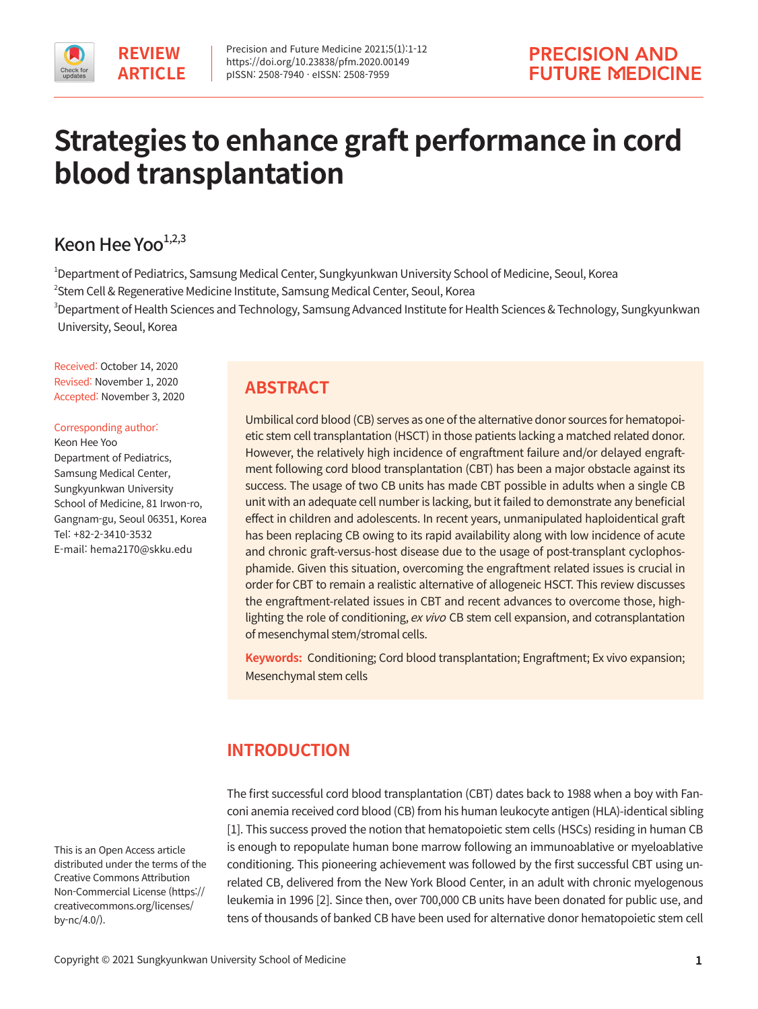

# **Strategies to enhance graft performance in cord blood transplantation**

## Keon Hee Yoo $1,2,3$

1 Department of Pediatrics, Samsung Medical Center, Sungkyunkwan University School of Medicine, Seoul, Korea 2 Stem Cell & Regenerative Medicine Institute, Samsung Medical Center, Seoul, Korea

 $^3$ Department of Health Sciences and Technology, Samsung Advanced Institute for Health Sciences & Technology, Sungkyunkwan University, Seoul, Korea

Received: October 14, 2020 Revised: November 1, 2020 Accepted: November 3, 2020

Corresponding author:

Keon Hee Yoo Department of Pediatrics, Samsung Medical Center, Sungkyunkwan University School of Medicine, 81 Irwon-ro, Gangnam-gu, Seoul 06351, Korea Tel: +82-2-3410-3532 E-mail: hema2170@skku.edu

#### This is an Open Access article distributed under the terms of the Creative Commons Attribution Non-Commercial License (https:// creativecommons.org/licenses/ by-nc/4.0/).

# **ABSTRACT**

Umbilical cord blood (CB) serves as one of the alternative donor sources for hematopoietic stem cell transplantation (HSCT) in those patients lacking a matched related donor. However, the relatively high incidence of engraftment failure and/or delayed engraftment following cord blood transplantation (CBT) has been a major obstacle against its success. The usage of two CB units has made CBT possible in adults when a single CB unit with an adequate cell number is lacking, but it failed to demonstrate any beneficial effect in children and adolescents. In recent years, unmanipulated haploidentical graft has been replacing CB owing to its rapid availability along with low incidence of acute and chronic graft-versus-host disease due to the usage of post-transplant cyclophosphamide. Given this situation, overcoming the engraftment related issues is crucial in order for CBT to remain a realistic alternative of allogeneic HSCT. This review discusses the engraftment-related issues in CBT and recent advances to overcome those, highlighting the role of conditioning, ex vivo CB stem cell expansion, and cotransplantation of mesenchymal stem/stromal cells.

**Keywords:** Conditioning; Cord blood transplantation; Engraftment; Ex vivo expansion; Mesenchymal stem cells

# **INTRODUCTION**

The first successful cord blood transplantation (CBT) dates back to 1988 when a boy with Fanconi anemia received cord blood (CB) from his human leukocyte antigen (HLA)-identical sibling [1]. This success proved the notion that hematopoietic stem cells (HSCs) residing in human CB is enough to repopulate human bone marrow following an immunoablative or myeloablative conditioning. This pioneering achievement was followed by the first successful CBT using unrelated CB, delivered from the New York Blood Center, in an adult with chronic myelogenous leukemia in 1996 [2]. Since then, over 700,000 CB units have been donated for public use, and tens of thousands of banked CB have been used for alternative donor hematopoietic stem cell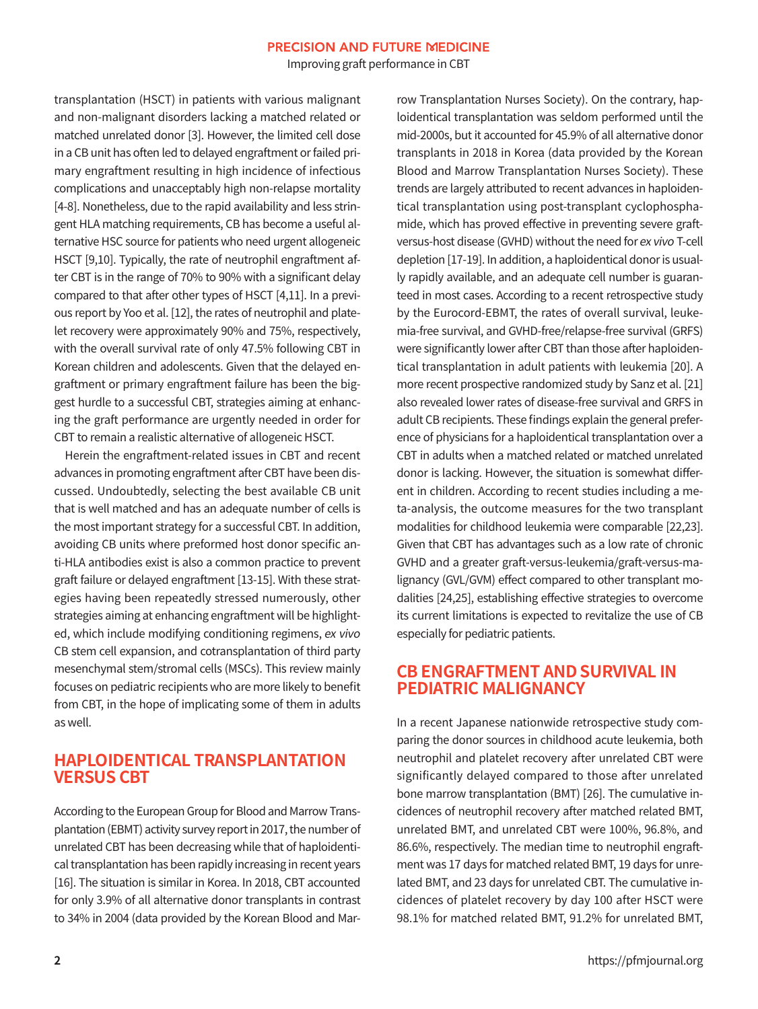Improving graft performance in CBT

transplantation (HSCT) in patients with various malignant and non-malignant disorders lacking a matched related or matched unrelated donor [3]. However, the limited cell dose in a CB unit has often led to delayed engraftment or failed primary engraftment resulting in high incidence of infectious complications and unacceptably high non-relapse mortality [4-8]. Nonetheless, due to the rapid availability and less stringent HLA matching requirements, CB has become a useful alternative HSC source for patients who need urgent allogeneic HSCT [9,10]. Typically, the rate of neutrophil engraftment after CBT is in the range of 70% to 90% with a significant delay compared to that after other types of HSCT [4,11]. In a previous report by Yoo et al. [12], the rates of neutrophil and platelet recovery were approximately 90% and 75%, respectively, with the overall survival rate of only 47.5% following CBT in Korean children and adolescents. Given that the delayed engraftment or primary engraftment failure has been the biggest hurdle to a successful CBT, strategies aiming at enhancing the graft performance are urgently needed in order for CBT to remain a realistic alternative of allogeneic HSCT.

Herein the engraftment-related issues in CBT and recent advances in promoting engraftment after CBT have been discussed. Undoubtedly, selecting the best available CB unit that is well matched and has an adequate number of cells is the most important strategy for a successful CBT. In addition, avoiding CB units where preformed host donor specific anti-HLA antibodies exist is also a common practice to prevent graft failure or delayed engraftment [13-15]. With these strategies having been repeatedly stressed numerously, other strategies aiming at enhancing engraftment will be highlighted, which include modifying conditioning regimens, ex vivo CB stem cell expansion, and cotransplantation of third party mesenchymal stem/stromal cells (MSCs). This review mainly focuses on pediatric recipients who are more likely to benefit from CBT, in the hope of implicating some of them in adults as well.

#### **HAPLOIDENTICAL TRANSPLANTATION VERSUS CBT**

According to the European Group for Blood and Marrow Transplantation (EBMT) activity survey report in 2017, the number of unrelated CBT has been decreasing while that of haploidentical transplantation has been rapidly increasing in recent years [16]. The situation is similar in Korea. In 2018, CBT accounted for only 3.9% of all alternative donor transplants in contrast to 34% in 2004 (data provided by the Korean Blood and Marrow Transplantation Nurses Society). On the contrary, haploidentical transplantation was seldom performed until the mid-2000s, but it accounted for 45.9% of all alternative donor transplants in 2018 in Korea (data provided by the Korean Blood and Marrow Transplantation Nurses Society). These trends are largely attributed to recent advances in haploidentical transplantation using post-transplant cyclophosphamide, which has proved effective in preventing severe graftversus-host disease (GVHD) without the need for ex vivo T-cell depletion [17-19]. In addition, a haploidentical donor is usually rapidly available, and an adequate cell number is guaranteed in most cases. According to a recent retrospective study by the Eurocord-EBMT, the rates of overall survival, leukemia-free survival, and GVHD-free/relapse-free survival (GRFS) were significantly lower after CBT than those after haploidentical transplantation in adult patients with leukemia [20]. A more recent prospective randomized study by Sanz et al. [21] also revealed lower rates of disease-free survival and GRFS in adult CB recipients. These findings explain the general preference of physicians for a haploidentical transplantation over a CBT in adults when a matched related or matched unrelated donor is lacking. However, the situation is somewhat different in children. According to recent studies including a meta-analysis, the outcome measures for the two transplant modalities for childhood leukemia were comparable [22,23]. Given that CBT has advantages such as a low rate of chronic GVHD and a greater graft-versus-leukemia/graft-versus-malignancy (GVL/GVM) effect compared to other transplant modalities [24,25], establishing effective strategies to overcome its current limitations is expected to revitalize the use of CB especially for pediatric patients.

#### **CB ENGRAFTMENT AND SURVIVAL IN PEDIATRIC MALIGNANCY**

In a recent Japanese nationwide retrospective study comparing the donor sources in childhood acute leukemia, both neutrophil and platelet recovery after unrelated CBT were significantly delayed compared to those after unrelated bone marrow transplantation (BMT) [26]. The cumulative incidences of neutrophil recovery after matched related BMT, unrelated BMT, and unrelated CBT were 100%, 96.8%, and 86.6%, respectively. The median time to neutrophil engraftment was 17 days for matched related BMT, 19 days for unrelated BMT, and 23 days for unrelated CBT. The cumulative incidences of platelet recovery by day 100 after HSCT were 98.1% for matched related BMT, 91.2% for unrelated BMT,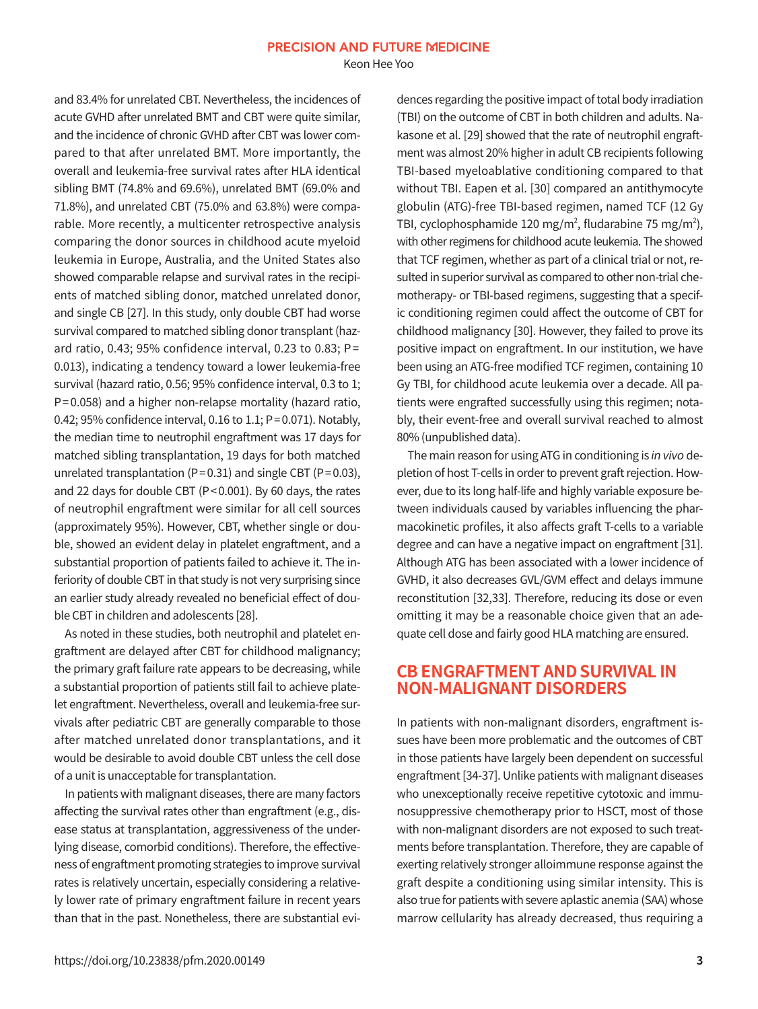Keon Hee Yoo

and 83.4% for unrelated CBT. Nevertheless, the incidences of acute GVHD after unrelated BMT and CBT were quite similar, and the incidence of chronic GVHD after CBT was lower compared to that after unrelated BMT. More importantly, the overall and leukemia-free survival rates after HLA identical sibling BMT (74.8% and 69.6%), unrelated BMT (69.0% and 71.8%), and unrelated CBT (75.0% and 63.8%) were comparable. More recently, a multicenter retrospective analysis comparing the donor sources in childhood acute myeloid leukemia in Europe, Australia, and the United States also showed comparable relapse and survival rates in the recipients of matched sibling donor, matched unrelated donor, and single CB [27]. In this study, only double CBT had worse survival compared to matched sibling donor transplant (hazard ratio, 0.43; 95% confidence interval, 0.23 to 0.83; P= 0.013), indicating a tendency toward a lower leukemia-free survival (hazard ratio, 0.56; 95% confidence interval, 0.3 to 1; P= 0.058) and a higher non-relapse mortality (hazard ratio, 0.42; 95% confidence interval, 0.16 to 1.1; P= 0.071). Notably, the median time to neutrophil engraftment was 17 days for matched sibling transplantation, 19 days for both matched unrelated transplantation (P=0.31) and single CBT (P=0.03), and 22 days for double CBT (P< 0.001). By 60 days, the rates of neutrophil engraftment were similar for all cell sources (approximately 95%). However, CBT, whether single or double, showed an evident delay in platelet engraftment, and a substantial proportion of patients failed to achieve it. The inferiority of double CBT in that study is not very surprising since an earlier study already revealed no beneficial effect of double CBT in children and adolescents [28].

As noted in these studies, both neutrophil and platelet engraftment are delayed after CBT for childhood malignancy; the primary graft failure rate appears to be decreasing, while a substantial proportion of patients still fail to achieve platelet engraftment. Nevertheless, overall and leukemia-free survivals after pediatric CBT are generally comparable to those after matched unrelated donor transplantations, and it would be desirable to avoid double CBT unless the cell dose of a unit is unacceptable for transplantation.

In patients with malignant diseases, there are many factors affecting the survival rates other than engraftment (e.g., disease status at transplantation, aggressiveness of the underlying disease, comorbid conditions). Therefore, the effectiveness of engraftment promoting strategies to improve survival rates is relatively uncertain, especially considering a relatively lower rate of primary engraftment failure in recent years than that in the past. Nonetheless, there are substantial evidences regarding the positive impact of total body irradiation (TBI) on the outcome of CBT in both children and adults. Nakasone et al. [29] showed that the rate of neutrophil engraftment was almost 20% higher in adult CB recipients following TBI-based myeloablative conditioning compared to that without TBI. Eapen et al. [30] compared an antithymocyte globulin (ATG)-free TBI-based regimen, named TCF (12 Gy TBI, cyclophosphamide 120 mg/m<sup>2</sup>, fludarabine 75 mg/m<sup>2</sup>), with other regimens for childhood acute leukemia. The showed that TCF regimen, whether as part of a clinical trial or not, resulted in superior survival as compared to other non-trial chemotherapy- or TBI-based regimens, suggesting that a specific conditioning regimen could affect the outcome of CBT for childhood malignancy [30]. However, they failed to prove its positive impact on engraftment. In our institution, we have been using an ATG-free modified TCF regimen, containing 10 Gy TBI, for childhood acute leukemia over a decade. All patients were engrafted successfully using this regimen; notably, their event-free and overall survival reached to almost 80% (unpublished data).

The main reason for using ATG in conditioning is in vivo depletion of host T-cells in order to prevent graft rejection. However, due to its long half-life and highly variable exposure between individuals caused by variables influencing the pharmacokinetic profiles, it also affects graft T-cells to a variable degree and can have a negative impact on engraftment [31]. Although ATG has been associated with a lower incidence of GVHD, it also decreases GVL/GVM effect and delays immune reconstitution [32,33]. Therefore, reducing its dose or even omitting it may be a reasonable choice given that an adequate cell dose and fairly good HLA matching are ensured.

#### **CB ENGRAFTMENT AND SURVIVAL IN NON-MALIGNANT DISORDERS**

In patients with non-malignant disorders, engraftment issues have been more problematic and the outcomes of CBT in those patients have largely been dependent on successful engraftment [34-37]. Unlike patients with malignant diseases who unexceptionally receive repetitive cytotoxic and immunosuppressive chemotherapy prior to HSCT, most of those with non-malignant disorders are not exposed to such treatments before transplantation. Therefore, they are capable of exerting relatively stronger alloimmune response against the graft despite a conditioning using similar intensity. This is also true for patients with severe aplastic anemia (SAA) whose marrow cellularity has already decreased, thus requiring a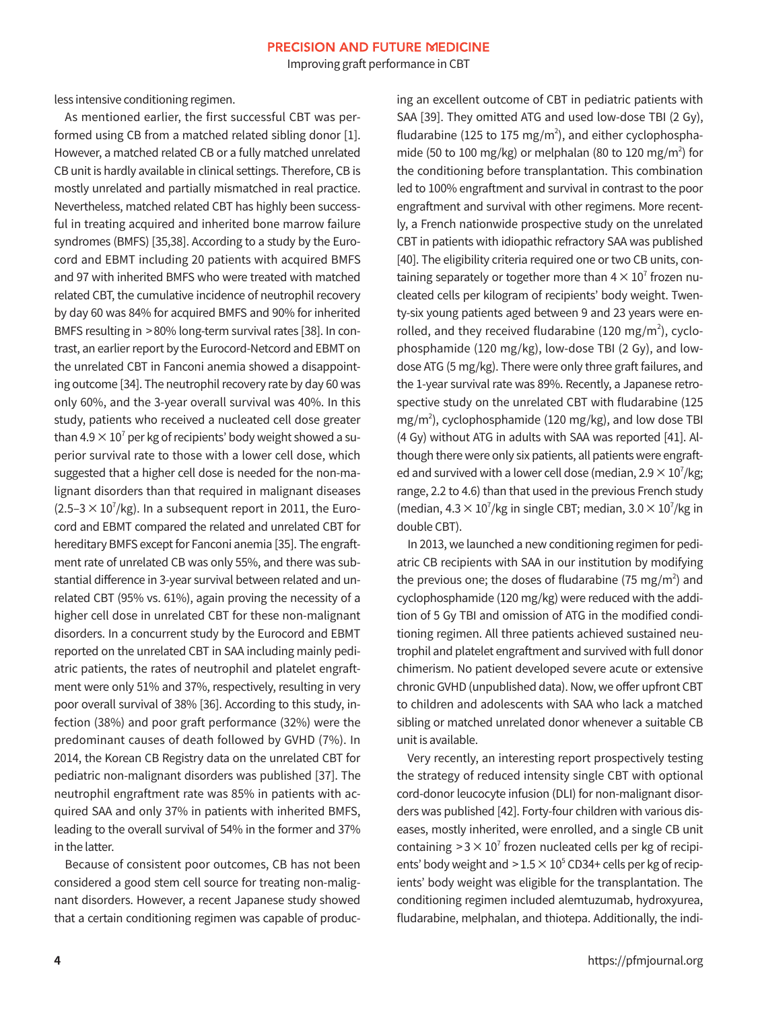Improving graft performance in CBT

less intensive conditioning regimen.

As mentioned earlier, the first successful CBT was performed using CB from a matched related sibling donor [1]. However, a matched related CB or a fully matched unrelated CB unit is hardly available in clinical settings. Therefore, CB is mostly unrelated and partially mismatched in real practice. Nevertheless, matched related CBT has highly been successful in treating acquired and inherited bone marrow failure syndromes (BMFS) [35,38]. According to a study by the Eurocord and EBMT including 20 patients with acquired BMFS and 97 with inherited BMFS who were treated with matched related CBT, the cumulative incidence of neutrophil recovery by day 60 was 84% for acquired BMFS and 90% for inherited BMFS resulting in > 80% long-term survival rates [38]. In contrast, an earlier report by the Eurocord-Netcord and EBMT on the unrelated CBT in Fanconi anemia showed a disappointing outcome [34]. The neutrophil recovery rate by day 60 was only 60%, and the 3-year overall survival was 40%. In this study, patients who received a nucleated cell dose greater than 4.9  $\times$  10 $^{\prime}$  per kg of recipients' body weight showed a superior survival rate to those with a lower cell dose, which suggested that a higher cell dose is needed for the non-malignant disorders than that required in malignant diseases  $(2.5-3 \times 10^7/\text{kg})$ . In a subsequent report in 2011, the Eurocord and EBMT compared the related and unrelated CBT for hereditary BMFS except for Fanconi anemia [35]. The engraftment rate of unrelated CB was only 55%, and there was substantial difference in 3-year survival between related and unrelated CBT (95% vs. 61%), again proving the necessity of a higher cell dose in unrelated CBT for these non-malignant disorders. In a concurrent study by the Eurocord and EBMT reported on the unrelated CBT in SAA including mainly pediatric patients, the rates of neutrophil and platelet engraftment were only 51% and 37%, respectively, resulting in very poor overall survival of 38% [36]. According to this study, infection (38%) and poor graft performance (32%) were the predominant causes of death followed by GVHD (7%). In 2014, the Korean CB Registry data on the unrelated CBT for pediatric non-malignant disorders was published [37]. The neutrophil engraftment rate was 85% in patients with acquired SAA and only 37% in patients with inherited BMFS, leading to the overall survival of 54% in the former and 37% in the latter.

Because of consistent poor outcomes, CB has not been considered a good stem cell source for treating non-malignant disorders. However, a recent Japanese study showed that a certain conditioning regimen was capable of producing an excellent outcome of CBT in pediatric patients with SAA [39]. They omitted ATG and used low-dose TBI (2 Gy), fludarabine (125 to 175 mg/m<sup>2</sup>), and either cyclophosphamide (50 to 100 mg/kg) or melphalan (80 to 120 mg/m<sup>2</sup>) for the conditioning before transplantation. This combination led to 100% engraftment and survival in contrast to the poor engraftment and survival with other regimens. More recently, a French nationwide prospective study on the unrelated CBT in patients with idiopathic refractory SAA was published [40]. The eligibility criteria required one or two CB units, containing separately or together more than  $4 \times 10^{7}$  frozen nucleated cells per kilogram of recipients' body weight. Twenty-six young patients aged between 9 and 23 years were enrolled, and they received fludarabine (120 mg/m<sup>2</sup>), cyclophosphamide (120 mg/kg), low-dose TBI (2 Gy), and lowdose ATG (5 mg/kg). There were only three graft failures, and the 1-year survival rate was 89%. Recently, a Japanese retrospective study on the unrelated CBT with fludarabine (125 mg/m2 ), cyclophosphamide (120 mg/kg), and low dose TBI (4 Gy) without ATG in adults with SAA was reported [41]. Although there were only six patients, all patients were engrafted and survived with a lower cell dose (median,  $2.9 \times 10^7$ /kg; range, 2.2 to 4.6) than that used in the previous French study (median,  $4.3 \times 10^7$ /kg in single CBT; median,  $3.0 \times 10^7$ /kg in double CBT).

In 2013, we launched a new conditioning regimen for pediatric CB recipients with SAA in our institution by modifying the previous one; the doses of fludarabine (75 mg/m<sup>2</sup>) and cyclophosphamide (120 mg/kg) were reduced with the addition of 5 Gy TBI and omission of ATG in the modified conditioning regimen. All three patients achieved sustained neutrophil and platelet engraftment and survived with full donor chimerism. No patient developed severe acute or extensive chronic GVHD (unpublished data). Now, we offer upfront CBT to children and adolescents with SAA who lack a matched sibling or matched unrelated donor whenever a suitable CB unit is available.

Very recently, an interesting report prospectively testing the strategy of reduced intensity single CBT with optional cord-donor leucocyte infusion (DLI) for non-malignant disorders was published [42]. Forty-four children with various diseases, mostly inherited, were enrolled, and a single CB unit containing  $>3 \times 10^{7}$  frozen nucleated cells per kg of recipients' body weight and  $>1.5\times10^{5}$  CD34+ cells per kg of recipients' body weight was eligible for the transplantation. The conditioning regimen included alemtuzumab, hydroxyurea, fludarabine, melphalan, and thiotepa. Additionally, the indi-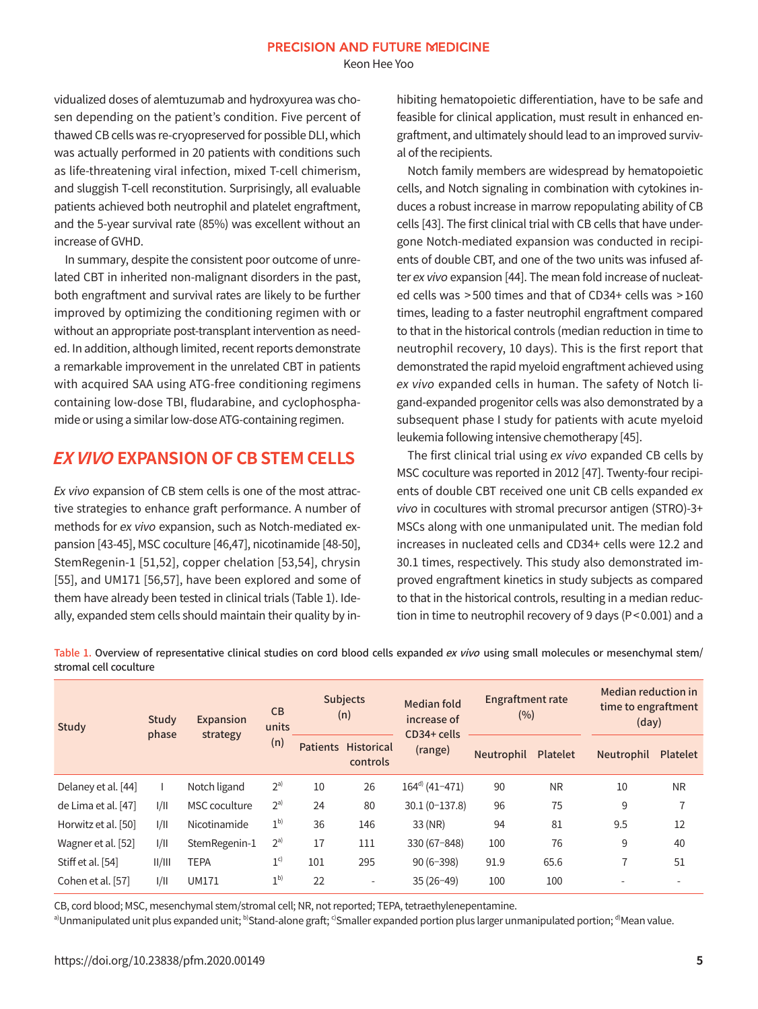Keon Hee Yoo

vidualized doses of alemtuzumab and hydroxyurea was chosen depending on the patient's condition. Five percent of thawed CB cells was re-cryopreserved for possible DLI, which was actually performed in 20 patients with conditions such as life-threatening viral infection, mixed T-cell chimerism, and sluggish T-cell reconstitution. Surprisingly, all evaluable patients achieved both neutrophil and platelet engraftment, and the 5-year survival rate (85%) was excellent without an increase of GVHD.

In summary, despite the consistent poor outcome of unrelated CBT in inherited non-malignant disorders in the past, both engraftment and survival rates are likely to be further improved by optimizing the conditioning regimen with or without an appropriate post-transplant intervention as needed. In addition, although limited, recent reports demonstrate a remarkable improvement in the unrelated CBT in patients with acquired SAA using ATG-free conditioning regimens containing low-dose TBI, fludarabine, and cyclophosphamide or using a similar low-dose ATG-containing regimen.

## **EX VIVO EXPANSION OF CB STEM CELLS**

Ex vivo expansion of CB stem cells is one of the most attractive strategies to enhance graft performance. A number of methods for ex vivo expansion, such as Notch-mediated expansion [43-45], MSC coculture [46,47], nicotinamide [48-50], StemRegenin-1 [51,52], copper chelation [53,54], chrysin [55], and UM171 [56,57], have been explored and some of them have already been tested in clinical trials (Table 1). Ideally, expanded stem cells should maintain their quality by inhibiting hematopoietic differentiation, have to be safe and feasible for clinical application, must result in enhanced engraftment, and ultimately should lead to an improved survival of the recipients.

Notch family members are widespread by hematopoietic cells, and Notch signaling in combination with cytokines induces a robust increase in marrow repopulating ability of CB cells [43]. The first clinical trial with CB cells that have undergone Notch-mediated expansion was conducted in recipients of double CBT, and one of the two units was infused after ex vivo expansion [44]. The mean fold increase of nucleated cells was > 500 times and that of CD34+ cells was > 160 times, leading to a faster neutrophil engraftment compared to that in the historical controls (median reduction in time to neutrophil recovery, 10 days). This is the first report that demonstrated the rapid myeloid engraftment achieved using ex vivo expanded cells in human. The safety of Notch ligand-expanded progenitor cells was also demonstrated by a subsequent phase I study for patients with acute myeloid leukemia following intensive chemotherapy [45].

The first clinical trial using ex vivo expanded CB cells by MSC coculture was reported in 2012 [47]. Twenty-four recipients of double CBT received one unit CB cells expanded ex vivo in cocultures with stromal precursor antigen (STRO)-3+ MSCs along with one unmanipulated unit. The median fold increases in nucleated cells and CD34+ cells were 12.2 and 30.1 times, respectively. This study also demonstrated improved engraftment kinetics in study subjects as compared to that in the historical controls, resulting in a median reduction in time to neutrophil recovery of 9 days (P< 0.001) and a

| Study               | Study<br>phase | <b>Expansion</b><br>strategy | CB<br>units<br>(n) | <b>Subjects</b><br>(n) |                        | Median fold<br>increase of<br>CD34+ cells | <b>Engraftment rate</b><br>(%) |                 | Median reduction in<br>time to engraftment<br>(day) |                 |
|---------------------|----------------|------------------------------|--------------------|------------------------|------------------------|-------------------------------------------|--------------------------------|-----------------|-----------------------------------------------------|-----------------|
|                     |                |                              |                    | <b>Patients</b>        | Historical<br>controls | (range)                                   | Neutrophil                     | <b>Platelet</b> | Neutrophil                                          | <b>Platelet</b> |
| Delaney et al. [44] |                | Notch ligand                 | $2^{a}$            | 10                     | 26                     | $164^{\text{d}}$ (41-471)                 | 90                             | <b>NR</b>       | 10                                                  | <b>NR</b>       |
| de Lima et al. [47] | 1/11           | <b>MSC</b> coculture         | $2^{a}$            | 24                     | 80                     | $30.1(0-137.8)$                           | 96                             | 75              | 9                                                   | $\overline{ }$  |
| Horwitz et al. [50] | 1/11           | Nicotinamide                 | 1 <sup>b</sup>     | 36                     | 146                    | 33 (NR)                                   | 94                             | 81              | 9.5                                                 | 12              |
| Wagner et al. [52]  | 1/11           | StemRegenin-1                | $2^{a}$            | 17                     | 111                    | 330 (67-848)                              | 100                            | 76              | 9                                                   | 40              |
| Stiff et al. [54]   | /              | <b>TEPA</b>                  | 1 <sup>c</sup>     | 101                    | 295                    | $90(6-398)$                               | 91.9                           | 65.6            | 7                                                   | 51              |
| Cohen et al. [57]   | 1/11           | <b>UM171</b>                 | 1 <sup>b</sup>     | 22                     | $\sim$                 | $35(26-49)$                               | 100                            | 100             | $\overline{\phantom{a}}$                            |                 |

Table 1. Overview of representative clinical studies on cord blood cells expanded ex vivo using small molecules or mesenchymal stem/ stromal cell coculture

CB, cord blood; MSC, mesenchymal stem/stromal cell; NR, not reported; TEPA, tetraethylenepentamine.

a)Unmanipulated unit plus expanded unit; <sup>b)</sup>Stand-alone graft; <sup>c)</sup>Smaller expanded portion plus larger unmanipulated portion; <sup>d)</sup>Mean value.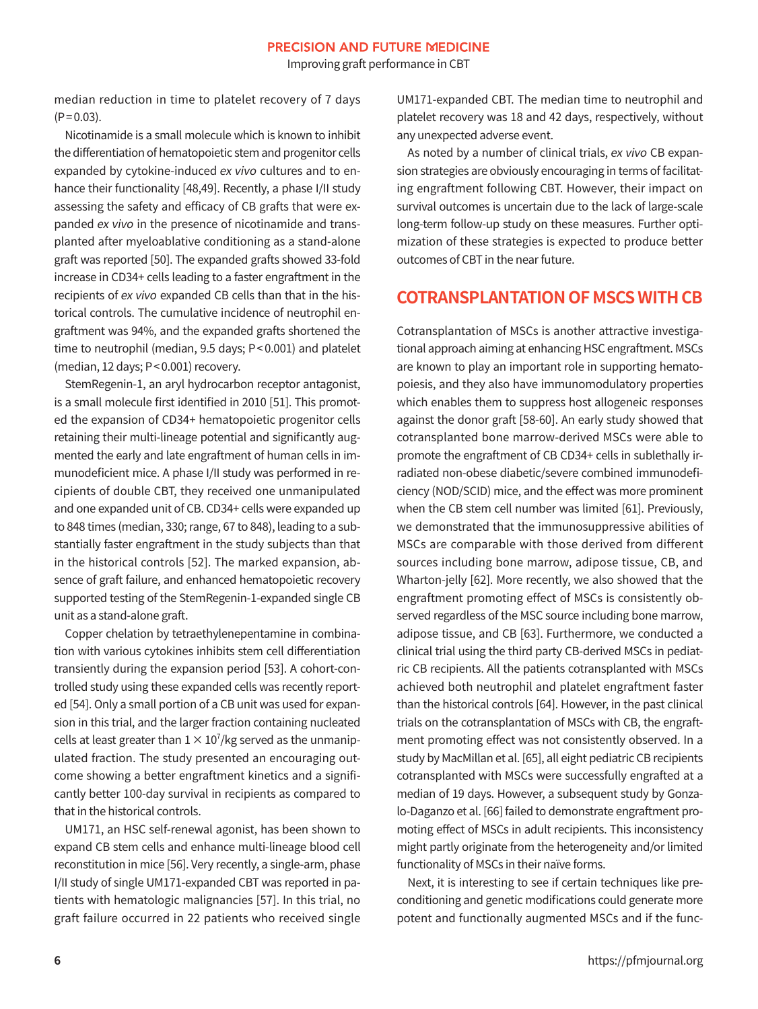Improving graft performance in CBT

median reduction in time to platelet recovery of 7 days  $(P = 0.03)$ .

Nicotinamide is a small molecule which is known to inhibit the differentiation of hematopoietic stem and progenitor cells expanded by cytokine-induced ex vivo cultures and to enhance their functionality [48,49]. Recently, a phase I/II study assessing the safety and efficacy of CB grafts that were expanded ex vivo in the presence of nicotinamide and transplanted after myeloablative conditioning as a stand-alone graft was reported [50]. The expanded grafts showed 33-fold increase in CD34+ cells leading to a faster engraftment in the recipients of ex vivo expanded CB cells than that in the historical controls. The cumulative incidence of neutrophil engraftment was 94%, and the expanded grafts shortened the time to neutrophil (median, 9.5 days; P< 0.001) and platelet (median, 12 days; P< 0.001) recovery.

StemRegenin-1, an aryl hydrocarbon receptor antagonist, is a small molecule first identified in 2010 [51]. This promoted the expansion of CD34+ hematopoietic progenitor cells retaining their multi-lineage potential and significantly augmented the early and late engraftment of human cells in immunodeficient mice. A phase I/II study was performed in recipients of double CBT, they received one unmanipulated and one expanded unit of CB. CD34+ cells were expanded up to 848 times (median, 330; range, 67 to 848), leading to a substantially faster engraftment in the study subjects than that in the historical controls [52]. The marked expansion, absence of graft failure, and enhanced hematopoietic recovery supported testing of the StemRegenin-1-expanded single CB unit as a stand-alone graft.

Copper chelation by tetraethylenepentamine in combination with various cytokines inhibits stem cell differentiation transiently during the expansion period [53]. A cohort-controlled study using these expanded cells was recently reported [54]. Only a small portion of a CB unit was used for expansion in this trial, and the larger fraction containing nucleated cells at least greater than  $1\times10'/$ kg served as the unmanipulated fraction. The study presented an encouraging outcome showing a better engraftment kinetics and a significantly better 100-day survival in recipients as compared to that in the historical controls.

UM171, an HSC self-renewal agonist, has been shown to expand CB stem cells and enhance multi-lineage blood cell reconstitution in mice [56]. Very recently, a single-arm, phase I/II study of single UM171-expanded CBT was reported in patients with hematologic malignancies [57]. In this trial, no graft failure occurred in 22 patients who received single

UM171-expanded CBT. The median time to neutrophil and platelet recovery was 18 and 42 days, respectively, without any unexpected adverse event.

As noted by a number of clinical trials, ex vivo CB expansion strategies are obviously encouraging in terms of facilitating engraftment following CBT. However, their impact on survival outcomes is uncertain due to the lack of large-scale long-term follow-up study on these measures. Further optimization of these strategies is expected to produce better outcomes of CBT in the near future.

## **COTRANSPLANTATION OF MSCS WITH CB**

Cotransplantation of MSCs is another attractive investigational approach aiming at enhancing HSC engraftment. MSCs are known to play an important role in supporting hematopoiesis, and they also have immunomodulatory properties which enables them to suppress host allogeneic responses against the donor graft [58-60]. An early study showed that cotransplanted bone marrow-derived MSCs were able to promote the engraftment of CB CD34+ cells in sublethally irradiated non-obese diabetic/severe combined immunodeficiency (NOD/SCID) mice, and the effect was more prominent when the CB stem cell number was limited [61]. Previously, we demonstrated that the immunosuppressive abilities of MSCs are comparable with those derived from different sources including bone marrow, adipose tissue, CB, and Wharton-jelly [62]. More recently, we also showed that the engraftment promoting effect of MSCs is consistently observed regardless of the MSC source including bone marrow, adipose tissue, and CB [63]. Furthermore, we conducted a clinical trial using the third party CB-derived MSCs in pediatric CB recipients. All the patients cotransplanted with MSCs achieved both neutrophil and platelet engraftment faster than the historical controls [64]. However, in the past clinical trials on the cotransplantation of MSCs with CB, the engraftment promoting effect was not consistently observed. In a study by MacMillan et al. [65], all eight pediatric CB recipients cotransplanted with MSCs were successfully engrafted at a median of 19 days. However, a subsequent study by Gonzalo-Daganzo et al. [66] failed to demonstrate engraftment promoting effect of MSCs in adult recipients. This inconsistency might partly originate from the heterogeneity and/or limited functionality of MSCs in their naïve forms.

Next, it is interesting to see if certain techniques like preconditioning and genetic modifications could generate more potent and functionally augmented MSCs and if the func-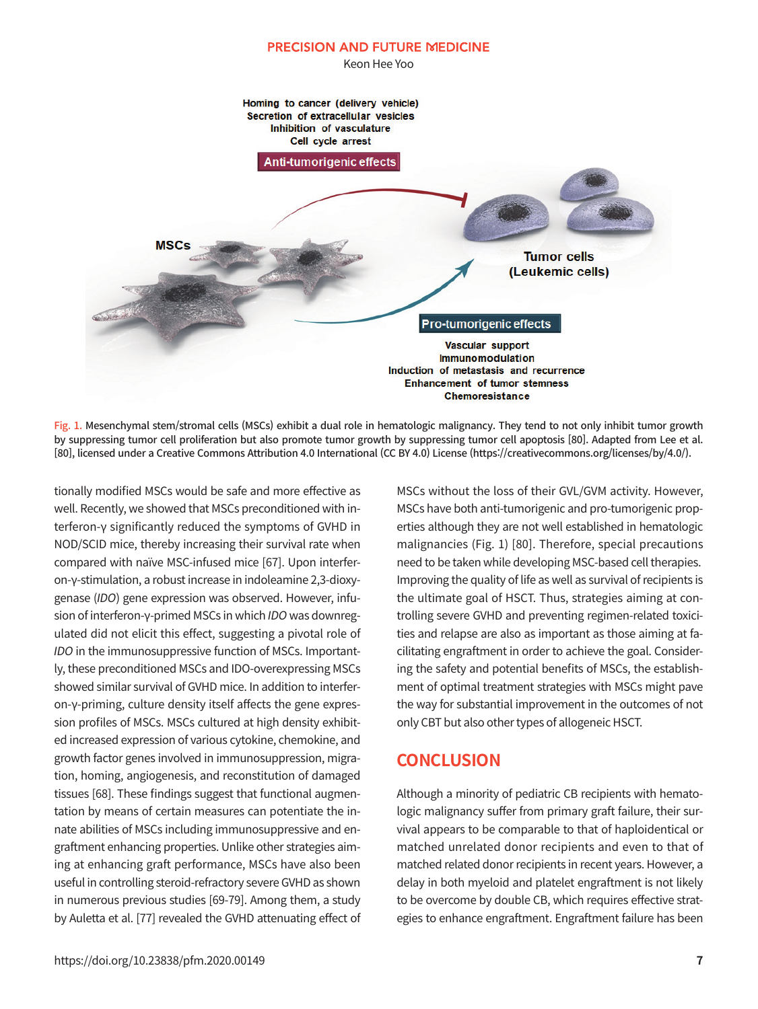

Fig. 1. Mesenchymal stem/stromal cells (MSCs) exhibit a dual role in hematologic malignancy. They tend to not only inhibit tumor growth by suppressing tumor cell proliferation but also promote tumor growth by suppressing tumor cell apoptosis [80]. Adapted from Lee et al. [80], licensed under a Creative Commons Attribution 4.0 International (CC BY 4.0) License (https://creativecommons.org/licenses/by/4.0/).

tionally modified MSCs would be safe and more effective as well. Recently, we showed that MSCs preconditioned with interferon-γ significantly reduced the symptoms of GVHD in NOD/SCID mice, thereby increasing their survival rate when compared with naïve MSC-infused mice [67]. Upon interferon-γ-stimulation, a robust increase in indoleamine 2,3-dioxygenase (IDO) gene expression was observed. However, infusion of interferon-γ-primed MSCs in which IDO was downregulated did not elicit this effect, suggesting a pivotal role of IDO in the immunosuppressive function of MSCs. Importantly, these preconditioned MSCs and IDO-overexpressing MSCs showed similar survival of GVHD mice. In addition to interferon-γ-priming, culture density itself affects the gene expression profiles of MSCs. MSCs cultured at high density exhibited increased expression of various cytokine, chemokine, and growth factor genes involved in immunosuppression, migration, homing, angiogenesis, and reconstitution of damaged tissues [68]. These findings suggest that functional augmentation by means of certain measures can potentiate the innate abilities of MSCs including immunosuppressive and engraftment enhancing properties. Unlike other strategies aiming at enhancing graft performance, MSCs have also been useful in controlling steroid-refractory severe GVHD as shown in numerous previous studies [69-79]. Among them, a study by Auletta et al. [77] revealed the GVHD attenuating effect of MSCs without the loss of their GVL/GVM activity. However, MSCs have both anti-tumorigenic and pro-tumorigenic properties although they are not well established in hematologic malignancies (Fig. 1) [80]. Therefore, special precautions need to be taken while developing MSC-based cell therapies. Improving the quality of life as well as survival of recipients is the ultimate goal of HSCT. Thus, strategies aiming at controlling severe GVHD and preventing regimen-related toxicities and relapse are also as important as those aiming at facilitating engraftment in order to achieve the goal. Considering the safety and potential benefits of MSCs, the establishment of optimal treatment strategies with MSCs might pave the way for substantial improvement in the outcomes of not only CBT but also other types of allogeneic HSCT.

## **CONCLUSION**

Although a minority of pediatric CB recipients with hematologic malignancy suffer from primary graft failure, their survival appears to be comparable to that of haploidentical or matched unrelated donor recipients and even to that of matched related donor recipients in recent years. However, a delay in both myeloid and platelet engraftment is not likely to be overcome by double CB, which requires effective strategies to enhance engraftment. Engraftment failure has been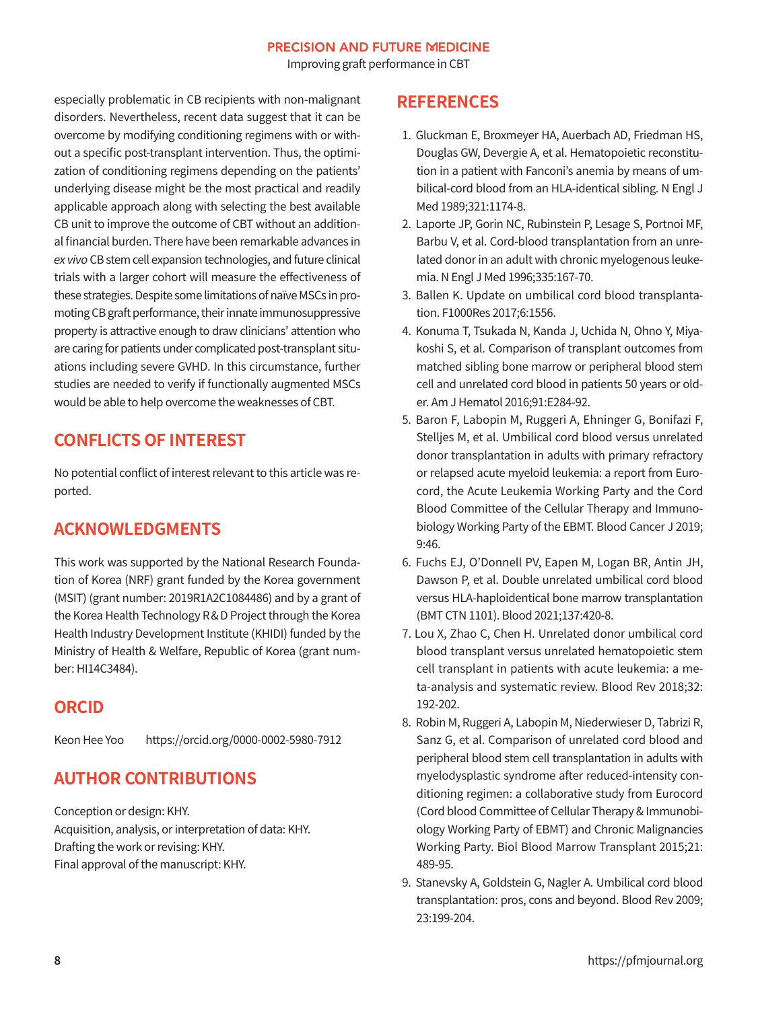Improving graft performance in CBT

especially problematic in CB recipients with non-malignant disorders. Nevertheless, recent data suggest that it can be overcome by modifying conditioning regimens with or without a specific post-transplant intervention. Thus, the optimization of conditioning regimens depending on the patients' underlying disease might be the most practical and readily applicable approach along with selecting the best available CB unit to improve the outcome of CBT without an additional financial burden. There have been remarkable advances in ex vivo CB stem cell expansion technologies, and future clinical trials with a larger cohort will measure the effectiveness of these strategies. Despite some limitations of naïve MSCs in promoting CB graft performance, their innate immunosuppressive property is attractive enough to draw clinicians' attention who are caring for patients under complicated post-transplant situations including severe GVHD. In this circumstance, further studies are needed to verify if functionally augmented MSCs would be able to help overcome the weaknesses of CBT.

## **CONFLICTS OF INTEREST**

No potential conflict of interest relevant to this article was reported.

## **ACKNOWLEDGMENTS**

This work was supported by the National Research Foundation of Korea (NRF) grant funded by the Korea government (MSIT) (grant number: 2019R1A2C1084486) and by a grant of the Korea Health Technology R& D Project through the Korea Health Industry Development Institute (KHIDI) funded by the Ministry of Health & Welfare, Republic of Korea (grant number: HI14C3484).

## **ORCID**

Keon Hee Yoo https://orcid.org/0000-0002-5980-7912

## **AUTHOR CONTRIBUTIONS**

Conception or design: KHY. Acquisition, analysis, or interpretation of data: KHY. Drafting the work or revising: KHY. Final approval of the manuscript: KHY.

## **REFERENCES**

- 1. Gluckman E, Broxmeyer HA, Auerbach AD, Friedman HS, Douglas GW, Devergie A, et al. Hematopoietic reconstitution in a patient with Fanconi's anemia by means of umbilical-cord blood from an HLA-identical sibling. N Engl J Med 1989;321:1174-8.
- 2. Laporte JP, Gorin NC, Rubinstein P, Lesage S, Portnoi MF, Barbu V, et al. Cord-blood transplantation from an unrelated donor in an adult with chronic myelogenous leukemia. N Engl J Med 1996;335:167-70.
- 3. Ballen K. Update on umbilical cord blood transplantation. F1000Res 2017;6:1556.
- 4. Konuma T, Tsukada N, Kanda J, Uchida N, Ohno Y, Miyakoshi S, et al. Comparison of transplant outcomes from matched sibling bone marrow or peripheral blood stem cell and unrelated cord blood in patients 50 years or older. Am J Hematol 2016;91:E284-92.
- 5. Baron F, Labopin M, Ruggeri A, Ehninger G, Bonifazi F, Stelljes M, et al. Umbilical cord blood versus unrelated donor transplantation in adults with primary refractory or relapsed acute myeloid leukemia: a report from Eurocord, the Acute Leukemia Working Party and the Cord Blood Committee of the Cellular Therapy and Immunobiology Working Party of the EBMT. Blood Cancer J 2019; 9:46.
- 6. Fuchs EJ, O'Donnell PV, Eapen M, Logan BR, Antin JH, Dawson P, et al. Double unrelated umbilical cord blood versus HLA-haploidentical bone marrow transplantation (BMT CTN 1101). Blood 2021;137:420-8.
- 7. Lou X, Zhao C, Chen H. Unrelated donor umbilical cord blood transplant versus unrelated hematopoietic stem cell transplant in patients with acute leukemia: a meta-analysis and systematic review. Blood Rev 2018;32: 192-202.
- 8. Robin M, Ruggeri A, Labopin M, Niederwieser D, Tabrizi R, Sanz G, et al. Comparison of unrelated cord blood and peripheral blood stem cell transplantation in adults with myelodysplastic syndrome after reduced-intensity conditioning regimen: a collaborative study from Eurocord (Cord blood Committee of Cellular Therapy & Immunobiology Working Party of EBMT) and Chronic Malignancies Working Party. Biol Blood Marrow Transplant 2015;21: 489-95.
- 9. Stanevsky A, Goldstein G, Nagler A. Umbilical cord blood transplantation: pros, cons and beyond. Blood Rev 2009; 23:199-204.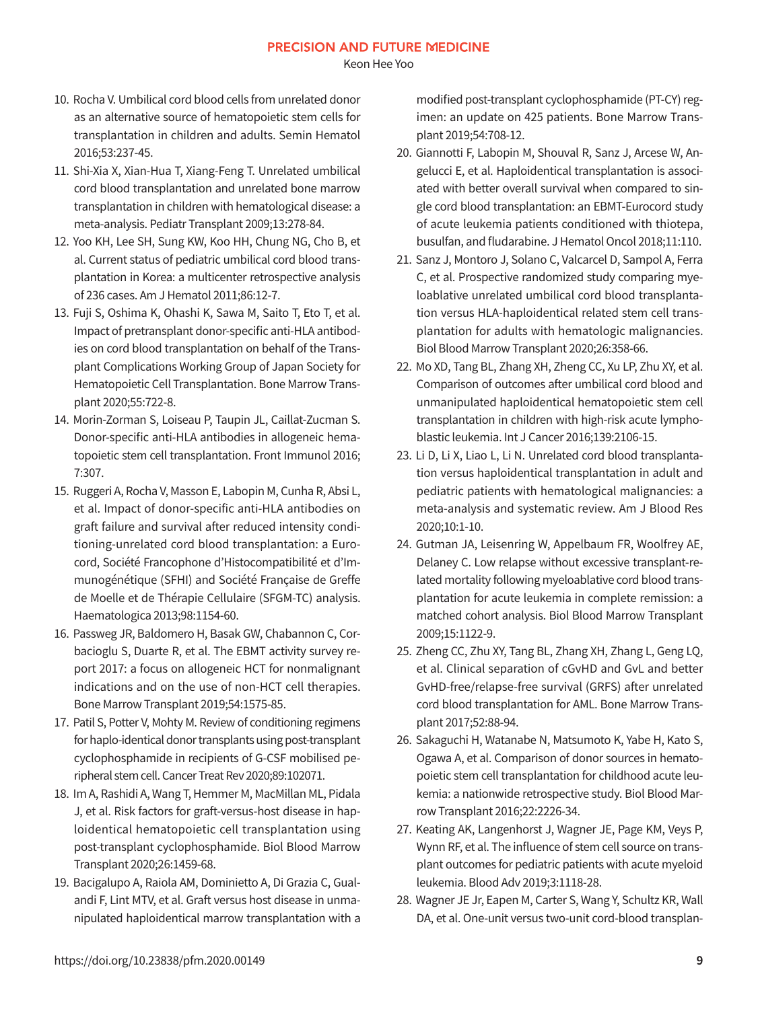Keon Hee Yoo

- 10. Rocha V. Umbilical cord blood cells from unrelated donor as an alternative source of hematopoietic stem cells for transplantation in children and adults. Semin Hematol 2016;53:237-45.
- 11. Shi-Xia X, Xian-Hua T, Xiang-Feng T. Unrelated umbilical cord blood transplantation and unrelated bone marrow transplantation in children with hematological disease: a meta-analysis. Pediatr Transplant 2009;13:278-84.
- 12. Yoo KH, Lee SH, Sung KW, Koo HH, Chung NG, Cho B, et al. Current status of pediatric umbilical cord blood transplantation in Korea: a multicenter retrospective analysis of 236 cases. Am J Hematol 2011;86:12-7.
- 13. Fuji S, Oshima K, Ohashi K, Sawa M, Saito T, Eto T, et al. Impact of pretransplant donor-specific anti-HLA antibodies on cord blood transplantation on behalf of the Transplant Complications Working Group of Japan Society for Hematopoietic Cell Transplantation. Bone Marrow Transplant 2020;55:722-8.
- 14. Morin-Zorman S, Loiseau P, Taupin JL, Caillat-Zucman S. Donor-specific anti-HLA antibodies in allogeneic hematopoietic stem cell transplantation. Front Immunol 2016; 7:307.
- 15. Ruggeri A, Rocha V, Masson E, Labopin M, Cunha R, Absi L, et al. Impact of donor-specific anti-HLA antibodies on graft failure and survival after reduced intensity conditioning-unrelated cord blood transplantation: a Eurocord, Société Francophone d'Histocompatibilité et d'Immunogénétique (SFHI) and Société Française de Greffe de Moelle et de Thérapie Cellulaire (SFGM-TC) analysis. Haematologica 2013;98:1154-60.
- 16. Passweg JR, Baldomero H, Basak GW, Chabannon C, Corbacioglu S, Duarte R, et al. The EBMT activity survey report 2017: a focus on allogeneic HCT for nonmalignant indications and on the use of non-HCT cell therapies. Bone Marrow Transplant 2019;54:1575-85.
- 17. Patil S, Potter V, Mohty M. Review of conditioning regimens for haplo-identical donor transplants using post-transplant cyclophosphamide in recipients of G-CSF mobilised peripheral stem cell. Cancer Treat Rev 2020;89:102071.
- 18. Im A, Rashidi A, Wang T, Hemmer M, MacMillan ML, Pidala J, et al. Risk factors for graft-versus-host disease in haploidentical hematopoietic cell transplantation using post-transplant cyclophosphamide. Biol Blood Marrow Transplant 2020;26:1459-68.
- 19. Bacigalupo A, Raiola AM, Dominietto A, Di Grazia C, Gualandi F, Lint MTV, et al. Graft versus host disease in unmanipulated haploidentical marrow transplantation with a

modified post-transplant cyclophosphamide (PT-CY) regimen: an update on 425 patients. Bone Marrow Transplant 2019;54:708-12.

- 20. Giannotti F, Labopin M, Shouval R, Sanz J, Arcese W, Angelucci E, et al. Haploidentical transplantation is associated with better overall survival when compared to single cord blood transplantation: an EBMT-Eurocord study of acute leukemia patients conditioned with thiotepa, busulfan, and fludarabine. J Hematol Oncol 2018;11:110.
- 21. Sanz J, Montoro J, Solano C, Valcarcel D, Sampol A, Ferra C, et al. Prospective randomized study comparing myeloablative unrelated umbilical cord blood transplantation versus HLA-haploidentical related stem cell transplantation for adults with hematologic malignancies. Biol Blood Marrow Transplant 2020;26:358-66.
- 22. Mo XD, Tang BL, Zhang XH, Zheng CC, Xu LP, Zhu XY, et al. Comparison of outcomes after umbilical cord blood and unmanipulated haploidentical hematopoietic stem cell transplantation in children with high-risk acute lymphoblastic leukemia. Int J Cancer 2016;139:2106-15.
- 23. Li D, Li X, Liao L, Li N. Unrelated cord blood transplantation versus haploidentical transplantation in adult and pediatric patients with hematological malignancies: a meta-analysis and systematic review. Am J Blood Res 2020;10:1-10.
- 24. Gutman JA, Leisenring W, Appelbaum FR, Woolfrey AE, Delaney C. Low relapse without excessive transplant-related mortality following myeloablative cord blood transplantation for acute leukemia in complete remission: a matched cohort analysis. Biol Blood Marrow Transplant 2009;15:1122-9.
- 25. Zheng CC, Zhu XY, Tang BL, Zhang XH, Zhang L, Geng LQ, et al. Clinical separation of cGvHD and GvL and better GvHD-free/relapse-free survival (GRFS) after unrelated cord blood transplantation for AML. Bone Marrow Transplant 2017;52:88-94.
- 26. Sakaguchi H, Watanabe N, Matsumoto K, Yabe H, Kato S, Ogawa A, et al. Comparison of donor sources in hematopoietic stem cell transplantation for childhood acute leukemia: a nationwide retrospective study. Biol Blood Marrow Transplant 2016;22:2226-34.
- 27. Keating AK, Langenhorst J, Wagner JE, Page KM, Veys P, Wynn RF, et al. The influence of stem cell source on transplant outcomes for pediatric patients with acute myeloid leukemia. Blood Adv 2019;3:1118-28.
- 28. Wagner JE Jr, Eapen M, Carter S, Wang Y, Schultz KR, Wall DA, et al. One-unit versus two-unit cord-blood transplan-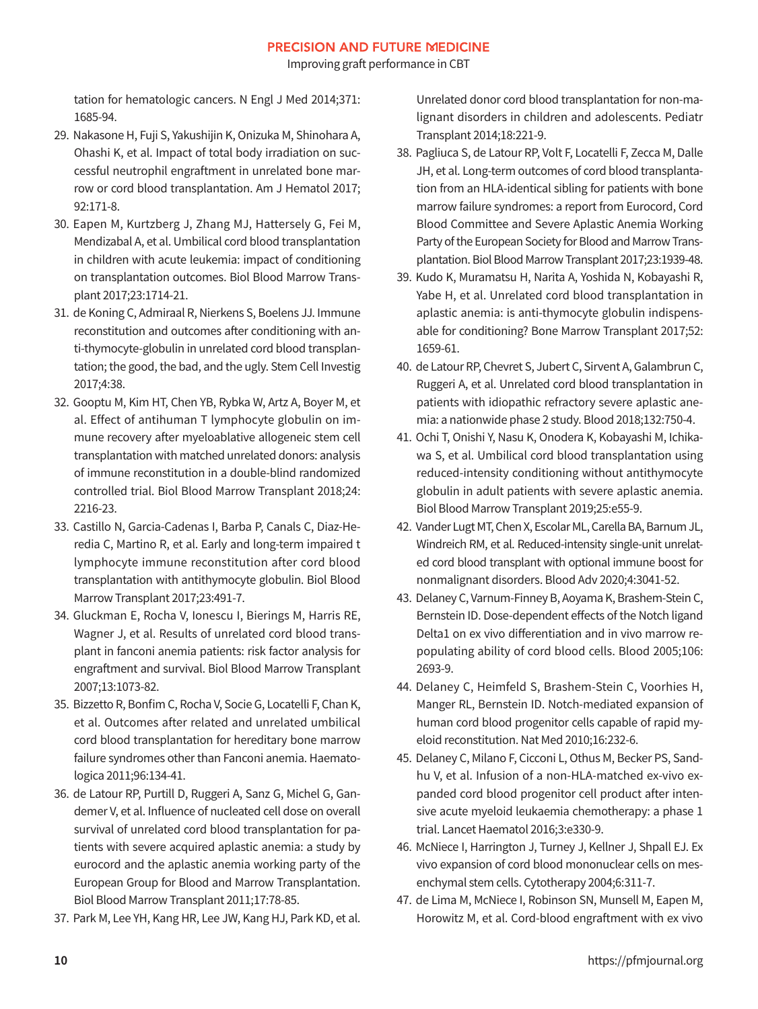Improving graft performance in CBT

tation for hematologic cancers. N Engl J Med 2014;371: 1685-94.

- 29. Nakasone H, Fuji S, Yakushijin K, Onizuka M, Shinohara A, Ohashi K, et al. Impact of total body irradiation on successful neutrophil engraftment in unrelated bone marrow or cord blood transplantation. Am J Hematol 2017; 92:171-8.
- 30. Eapen M, Kurtzberg J, Zhang MJ, Hattersely G, Fei M, Mendizabal A, et al. Umbilical cord blood transplantation in children with acute leukemia: impact of conditioning on transplantation outcomes. Biol Blood Marrow Transplant 2017;23:1714-21.
- 31. de Koning C, Admiraal R, Nierkens S, Boelens JJ. Immune reconstitution and outcomes after conditioning with anti-thymocyte-globulin in unrelated cord blood transplantation; the good, the bad, and the ugly. Stem Cell Investig 2017;4:38.
- 32. Gooptu M, Kim HT, Chen YB, Rybka W, Artz A, Boyer M, et al. Effect of antihuman T lymphocyte globulin on immune recovery after myeloablative allogeneic stem cell transplantation with matched unrelated donors: analysis of immune reconstitution in a double-blind randomized controlled trial. Biol Blood Marrow Transplant 2018;24: 2216-23.
- 33. Castillo N, Garcia-Cadenas I, Barba P, Canals C, Diaz-Heredia C, Martino R, et al. Early and long-term impaired t lymphocyte immune reconstitution after cord blood transplantation with antithymocyte globulin. Biol Blood Marrow Transplant 2017;23:491-7.
- 34. Gluckman E, Rocha V, Ionescu I, Bierings M, Harris RE, Wagner J, et al. Results of unrelated cord blood transplant in fanconi anemia patients: risk factor analysis for engraftment and survival. Biol Blood Marrow Transplant 2007;13:1073-82.
- 35. Bizzetto R, Bonfim C, Rocha V, Socie G, Locatelli F, Chan K, et al. Outcomes after related and unrelated umbilical cord blood transplantation for hereditary bone marrow failure syndromes other than Fanconi anemia. Haematologica 2011;96:134-41.
- 36. de Latour RP, Purtill D, Ruggeri A, Sanz G, Michel G, Gandemer V, et al. Influence of nucleated cell dose on overall survival of unrelated cord blood transplantation for patients with severe acquired aplastic anemia: a study by eurocord and the aplastic anemia working party of the European Group for Blood and Marrow Transplantation. Biol Blood Marrow Transplant 2011;17:78-85.
- 37. Park M, Lee YH, Kang HR, Lee JW, Kang HJ, Park KD, et al.

Unrelated donor cord blood transplantation for non-malignant disorders in children and adolescents. Pediatr Transplant 2014;18:221-9.

- 38. Pagliuca S, de Latour RP, Volt F, Locatelli F, Zecca M, Dalle JH, et al. Long-term outcomes of cord blood transplantation from an HLA-identical sibling for patients with bone marrow failure syndromes: a report from Eurocord, Cord Blood Committee and Severe Aplastic Anemia Working Party of the European Society for Blood and Marrow Transplantation. Biol Blood Marrow Transplant 2017;23:1939-48.
- 39. Kudo K, Muramatsu H, Narita A, Yoshida N, Kobayashi R, Yabe H, et al. Unrelated cord blood transplantation in aplastic anemia: is anti-thymocyte globulin indispensable for conditioning? Bone Marrow Transplant 2017;52: 1659-61.
- 40. de Latour RP, Chevret S, Jubert C, Sirvent A, Galambrun C, Ruggeri A, et al. Unrelated cord blood transplantation in patients with idiopathic refractory severe aplastic anemia: a nationwide phase 2 study. Blood 2018;132:750-4.
- 41. Ochi T, Onishi Y, Nasu K, Onodera K, Kobayashi M, Ichikawa S, et al. Umbilical cord blood transplantation using reduced-intensity conditioning without antithymocyte globulin in adult patients with severe aplastic anemia. Biol Blood Marrow Transplant 2019;25:e55-9.
- 42. Vander Lugt MT, Chen X, Escolar ML, Carella BA, Barnum JL, Windreich RM, et al. Reduced-intensity single-unit unrelated cord blood transplant with optional immune boost for nonmalignant disorders. Blood Adv 2020;4:3041-52.
- 43. Delaney C, Varnum-Finney B, Aoyama K, Brashem-Stein C, Bernstein ID. Dose-dependent effects of the Notch ligand Delta1 on ex vivo differentiation and in vivo marrow repopulating ability of cord blood cells. Blood 2005;106: 2693-9.
- 44. Delaney C, Heimfeld S, Brashem-Stein C, Voorhies H, Manger RL, Bernstein ID. Notch-mediated expansion of human cord blood progenitor cells capable of rapid myeloid reconstitution. Nat Med 2010;16:232-6.
- 45. Delaney C, Milano F, Cicconi L, Othus M, Becker PS, Sandhu V, et al. Infusion of a non-HLA-matched ex-vivo expanded cord blood progenitor cell product after intensive acute myeloid leukaemia chemotherapy: a phase 1 trial. Lancet Haematol 2016;3:e330-9.
- 46. McNiece I, Harrington J, Turney J, Kellner J, Shpall EJ. Ex vivo expansion of cord blood mononuclear cells on mesenchymal stem cells. Cytotherapy 2004;6:311-7.
- 47. de Lima M, McNiece I, Robinson SN, Munsell M, Eapen M, Horowitz M, et al. Cord-blood engraftment with ex vivo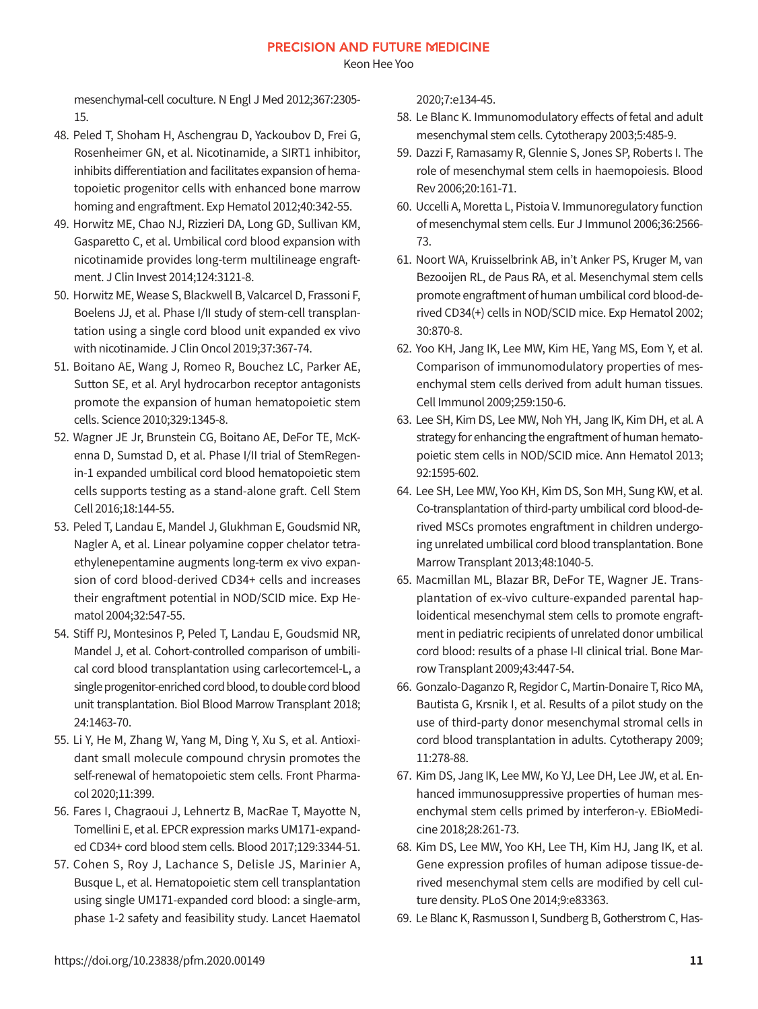Keon Hee Yoo

mesenchymal-cell coculture. N Engl J Med 2012;367:2305- 15.

- 48. Peled T, Shoham H, Aschengrau D, Yackoubov D, Frei G, Rosenheimer GN, et al. Nicotinamide, a SIRT1 inhibitor, inhibits differentiation and facilitates expansion of hematopoietic progenitor cells with enhanced bone marrow homing and engraftment. Exp Hematol 2012;40:342-55.
- 49. Horwitz ME, Chao NJ, Rizzieri DA, Long GD, Sullivan KM, Gasparetto C, et al. Umbilical cord blood expansion with nicotinamide provides long-term multilineage engraftment. J Clin Invest 2014;124:3121-8.
- 50. Horwitz ME, Wease S, Blackwell B, Valcarcel D, Frassoni F, Boelens JJ, et al. Phase I/II study of stem-cell transplantation using a single cord blood unit expanded ex vivo with nicotinamide. J Clin Oncol 2019;37:367-74.
- 51. Boitano AE, Wang J, Romeo R, Bouchez LC, Parker AE, Sutton SE, et al. Aryl hydrocarbon receptor antagonists promote the expansion of human hematopoietic stem cells. Science 2010;329:1345-8.
- 52. Wagner JE Jr, Brunstein CG, Boitano AE, DeFor TE, McKenna D, Sumstad D, et al. Phase I/II trial of StemRegenin-1 expanded umbilical cord blood hematopoietic stem cells supports testing as a stand-alone graft. Cell Stem Cell 2016;18:144-55.
- 53. Peled T, Landau E, Mandel J, Glukhman E, Goudsmid NR, Nagler A, et al. Linear polyamine copper chelator tetraethylenepentamine augments long-term ex vivo expansion of cord blood-derived CD34+ cells and increases their engraftment potential in NOD/SCID mice. Exp Hematol 2004;32:547-55.
- 54. Stiff PJ, Montesinos P, Peled T, Landau E, Goudsmid NR, Mandel J, et al. Cohort-controlled comparison of umbilical cord blood transplantation using carlecortemcel-L, a single progenitor-enriched cord blood, to double cord blood unit transplantation. Biol Blood Marrow Transplant 2018; 24:1463-70.
- 55. Li Y, He M, Zhang W, Yang M, Ding Y, Xu S, et al. Antioxidant small molecule compound chrysin promotes the self-renewal of hematopoietic stem cells. Front Pharmacol 2020;11:399.
- 56. Fares I, Chagraoui J, Lehnertz B, MacRae T, Mayotte N, Tomellini E, et al. EPCR expression marks UM171-expanded CD34+ cord blood stem cells. Blood 2017;129:3344-51.
- 57. Cohen S, Roy J, Lachance S, Delisle JS, Marinier A, Busque L, et al. Hematopoietic stem cell transplantation using single UM171-expanded cord blood: a single-arm, phase 1-2 safety and feasibility study. Lancet Haematol

2020;7:e134-45.

- 58. Le Blanc K. Immunomodulatory effects of fetal and adult mesenchymal stem cells. Cytotherapy 2003;5:485-9.
- 59. Dazzi F, Ramasamy R, Glennie S, Jones SP, Roberts I. The role of mesenchymal stem cells in haemopoiesis. Blood Rev 2006;20:161-71.
- 60. Uccelli A, Moretta L, Pistoia V. Immunoregulatory function of mesenchymal stem cells. Eur J Immunol 2006;36:2566- 73.
- 61. Noort WA, Kruisselbrink AB, in't Anker PS, Kruger M, van Bezooijen RL, de Paus RA, et al. Mesenchymal stem cells promote engraftment of human umbilical cord blood-derived CD34(+) cells in NOD/SCID mice. Exp Hematol 2002; 30:870-8.
- 62. Yoo KH, Jang IK, Lee MW, Kim HE, Yang MS, Eom Y, et al. Comparison of immunomodulatory properties of mesenchymal stem cells derived from adult human tissues. Cell Immunol 2009;259:150-6.
- 63. Lee SH, Kim DS, Lee MW, Noh YH, Jang IK, Kim DH, et al. A strategy for enhancing the engraftment of human hematopoietic stem cells in NOD/SCID mice. Ann Hematol 2013; 92:1595-602.
- 64. Lee SH, Lee MW, Yoo KH, Kim DS, Son MH, Sung KW, et al. Co-transplantation of third-party umbilical cord blood-derived MSCs promotes engraftment in children undergoing unrelated umbilical cord blood transplantation. Bone Marrow Transplant 2013;48:1040-5.
- 65. Macmillan ML, Blazar BR, DeFor TE, Wagner JE. Transplantation of ex-vivo culture-expanded parental haploidentical mesenchymal stem cells to promote engraftment in pediatric recipients of unrelated donor umbilical cord blood: results of a phase I-II clinical trial. Bone Marrow Transplant 2009;43:447-54.
- 66. Gonzalo-Daganzo R, Regidor C, Martin-Donaire T, Rico MA, Bautista G, Krsnik I, et al. Results of a pilot study on the use of third-party donor mesenchymal stromal cells in cord blood transplantation in adults. Cytotherapy 2009; 11:278-88.
- 67. Kim DS, Jang IK, Lee MW, Ko YJ, Lee DH, Lee JW, et al. Enhanced immunosuppressive properties of human mesenchymal stem cells primed by interferon-γ. EBioMedicine 2018;28:261-73.
- 68. Kim DS, Lee MW, Yoo KH, Lee TH, Kim HJ, Jang IK, et al. Gene expression profiles of human adipose tissue-derived mesenchymal stem cells are modified by cell culture density. PLoS One 2014;9:e83363.
- 69. Le Blanc K, Rasmusson I, Sundberg B, Gotherstrom C, Has-